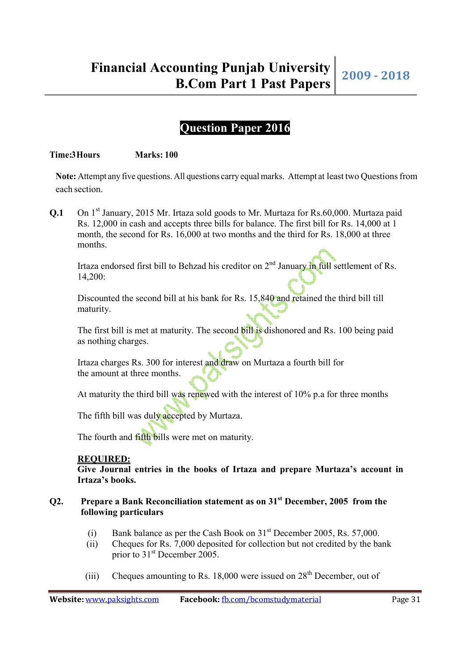# **Question Paper 2016**

#### **Time:3 Hours** Marks: 100

**Note:** Attempt any five questions. All questions carry equal marks. Attempt at least two Questions from each section.

**Q.1** On 1<sup>st</sup> January, 2015 Mr. Irtaza sold goods to Mr. Murtaza for Rs.60,000. Murtaza paid Rs. 12,000 in cash and accepts three bills for balance. The first bill for Rs. 14,000 at 1 month, the second for Rs. 16,000 at two months and the third for Rs. 18,000 at three months.

Irtaza endorsed first bill to Behzad his creditor on  $2<sup>nd</sup>$  January in full settlement of Rs. 14,200:

 Discounted the second bill at his bank for Rs. 15,840 and retained the third bill till maturity.

The first bill is met at maturity. The second bill is dishonored and Rs. 100 being paid as nothing charges.

 Irtaza charges Rs. 300 for interest and draw on Murtaza a fourth bill for the amount at three months.

At maturity the third bill was renewed with the interest of 10% p.a for three months

The fifth bill was duly accepted by Murtaza.

The fourth and fifth bills were met on maturity.

### **REQUIRED:**

 **Give Journal entries in the books of Irtaza and prepare Murtaza's account in Irtaza's books.** 

## **Q2. Prepare a Bank Reconciliation statement as on 31 st December, 2005 from the following particulars**

- (i) Bank balance as per the Cash Book on  $31<sup>st</sup>$  December 2005, Rs. 57,000.
- (ii) Cheques for Rs. 7,000 deposited for collection but not credited by the bank prior to 31<sup>st</sup> December 2005.
- (iii) Cheques amounting to Rs. 18,000 were issued on  $28<sup>th</sup>$  December, out of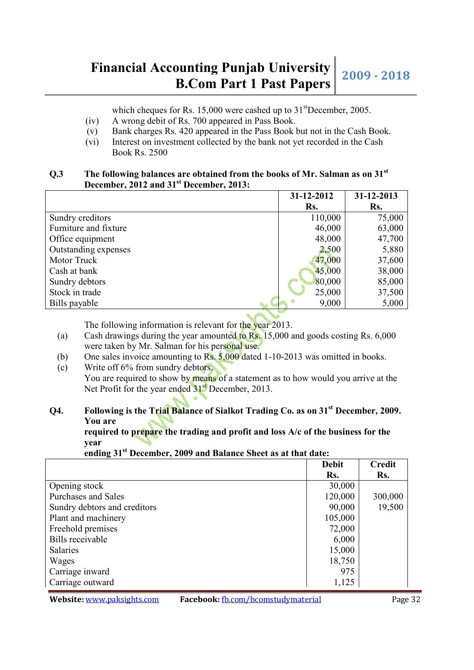# **Financial Accounting Punjab University bunting Punjab University** 2009 - 2018<br>**B.Com Part 1 Past Papers**

which cheques for Rs. 15,000 were cashed up to  $31<sup>st</sup>$ December, 2005.

- (iv) A wrong debit of Rs. 700 appeared in Pass Book.
- (v) Bank charges Rs. 420 appeared in the Pass Book but not in the Cash Book.
- (vi) Interest on investment collected by the bank not yet recorded in the Cash Book Rs. 2500

## **Q.3 The following balances are obtained from the books of Mr. Salman as on 31st December, 2012 and 31st December, 2013:**

|                       | 31-12-2012 | 31-12-2013 |
|-----------------------|------------|------------|
|                       | Rs.        | Rs.        |
| Sundry creditors      | 110,000    | 75,000     |
| Furniture and fixture | 46,000     | 63,000     |
| Office equipment      | 48,000     | 47,700     |
| Outstanding expenses  | 2,500      | 5,880      |
| Motor Truck           | 47,000     | 37,600     |
| Cash at bank          | 45,000     | 38,000     |
| Sundry debtors        | 80,000     | 85,000     |
| Stock in trade        | 25,000     | 37,500     |
| Bills payable         | 9,000      | 5,000      |

The following information is relevant for the year 2013.

- (a) Cash drawings during the year amounted to Rs. 15,000 and goods costing Rs. 6,000 were taken by Mr. Salman for his personal use.
- (b) One sales invoice amounting to  $\overline{\text{Rs}}$ ,  $\overline{\text{5,000}}$  dated 1-10-2013 was omitted in books.
- (c) Write off 6% from sundry debtors. You are required to show by means of a statement as to how would you arrive at the Net Profit for the year ended 31<sup>st</sup> December, 2013.

# **Q4. Following is the Trial Balance of Sialkot Trading Co. as on 31st December, 2009. You are**

 **required to prepare the trading and profit and loss A/c of the business for the year** 

 **ending 31st December, 2009 and Balance Sheet as at that date:** 

|                              | <b>Debit</b> | <b>Credit</b> |
|------------------------------|--------------|---------------|
|                              | Rs.          | Rs.           |
| Opening stock                | 30,000       |               |
| Purchases and Sales          | 120,000      | 300,000       |
| Sundry debtors and creditors | 90,000       | 19,500        |
| Plant and machinery          | 105,000      |               |
| Freehold premises            | 72,000       |               |
| <b>Bills</b> receivable      | 6,000        |               |
| <b>Salaries</b>              | 15,000       |               |
| Wages                        | 18,750       |               |
| Carriage inward              | 975          |               |
| Carriage outward             | 1,125        |               |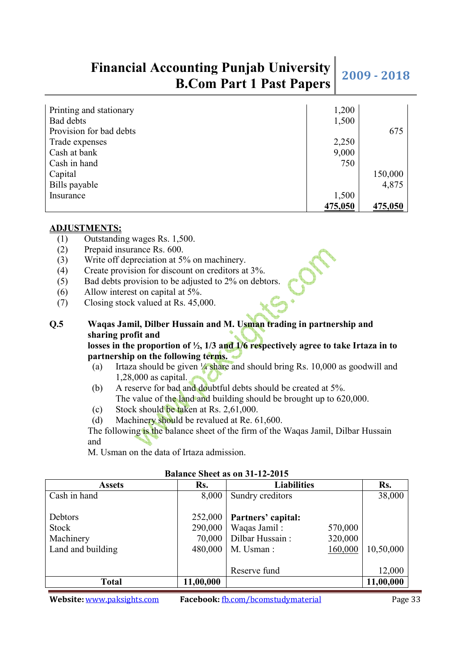# **Financial Accounting Punjab University bunting Punjab University** 2009 - 2018<br>**B.Com Part 1 Past Papers**

| Printing and stationary | 1,200   |         |
|-------------------------|---------|---------|
| Bad debts               | 1,500   |         |
| Provision for bad debts |         | 675     |
| Trade expenses          | 2,250   |         |
| Cash at bank            | 9,000   |         |
| Cash in hand            | 750     |         |
| Capital                 |         | 150,000 |
| Bills payable           |         | 4,875   |
| Insurance               | 1,500   |         |
|                         | 475,050 | 475,050 |

### **ADJUSTMENTS:**

- (1) Outstanding wages Rs. 1,500.
- (2) Prepaid insurance Rs. 600.
- (3) Write off depreciation at 5% on machinery.
- (4) Create provision for discount on creditors at 3%.
- (5) Bad debts provision to be adjusted to 2% on debtors.
- (6) Allow interest on capital at 5%.
- (7) Closing stock valued at Rs. 45,000.

# **Q.5 Waqas Jamil, Dilber Hussain and M. Usman trading in partnership and sharing profit and**

## **losses in the proportion of ½, 1/3 and 1/6 respectively agree to take Irtaza in to partnership on the following terms.**

- (a) Irtaza should be given  $\frac{1}{4}$  share and should bring Rs. 10,000 as goodwill and 1,28,000 as capital.
- (b) A reserve for bad and doubtful debts should be created at 5%. The value of the land and building should be brought up to 620,000.
- (c) Stock should be taken at Rs. 2,61,000.
- (d) Machinery should be revalued at Re. 61,600.

 The following is the balance sheet of the firm of the Waqas Jamil, Dilbar Hussain and

M. Usman on the data of Irtaza admission.

| <b>Assets</b>     | Rs.       | <b>Liabilities</b>         | Rs.       |
|-------------------|-----------|----------------------------|-----------|
| Cash in hand      | 8,000     | Sundry creditors           | 38,000    |
|                   |           |                            |           |
| Debtors           | 252,000   | Partners' capital:         |           |
| Stock             | 290,000   | Waqas Jamil:<br>570,000    |           |
| Machinery         | 70,000    | Dilbar Hussain:<br>320,000 |           |
| Land and building | 480,000   | M. Usman:<br>160,000       | 10,50,000 |
|                   |           |                            |           |
|                   |           | Reserve fund               | 12,000    |
| Total             | 11,00,000 |                            | 11,00,000 |

#### **Balance Sheet as on 31-12-2015**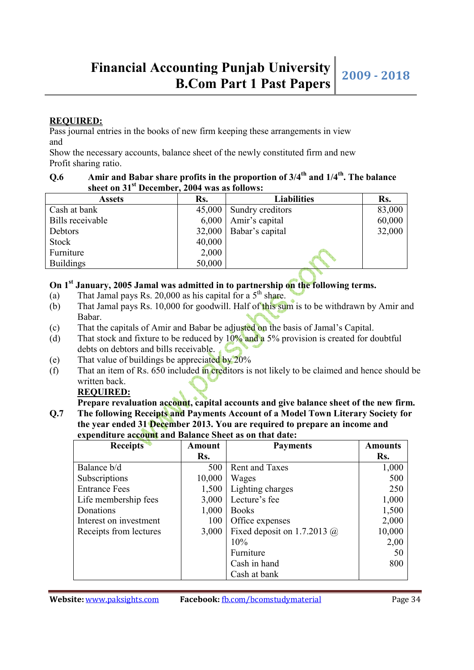## **REQUIRED:**

Pass journal entries in the books of new firm keeping these arrangements in view and

Show the necessary accounts, balance sheet of the newly constituted firm and new Profit sharing ratio.

# **Q.6 Amir and Babar share profits in the proportion of 3/4th and 1/4th. The balance sheet on 31st December, 2004 was as follows:**

| <b>Assets</b>    | Rs.    | <b>Liabilities</b>         | Rs.    |
|------------------|--------|----------------------------|--------|
| Cash at bank     |        | $45,000$ Sundry creditors  | 83,000 |
| Bills receivable |        | $6,000$   Amir's capital   | 60,000 |
| Debtors          |        | $32,000$   Babar's capital | 32,000 |
| Stock            | 40,000 |                            |        |
| Furniture        | 2,000  |                            |        |
| <b>Buildings</b> | 50,000 |                            |        |

# **On 1st January, 2005 Jamal was admitted in to partnership on the following terms.**

- (a) That Jamal pays Rs. 20,000 as his capital for a  $5<sup>th</sup>$  share.
- (b) That Jamal pays Rs. 10,000 for goodwill. Half of this sum is to be withdrawn by Amir and Babar.
- (c) That the capitals of Amir and Babar be adjusted on the basis of Jamal's Capital.
- (d) That stock and fixture to be reduced by  $10\%$  and a 5% provision is created for doubtful debts on debtors and bills receivable.
- (e) That value of buildings be appreciated by 20%
- (f) That an item of Rs.  $650$  included in creditors is not likely to be claimed and hence should be written back.

# **REQUIRED:**

Prepare revaluation account, capital accounts and give balance sheet of the new firm. **Q.7 The following Receipts and Payments Account of a Model Town Literary Society for** 

**the year ended 31 December 2013. You are required to prepare an income and expenditure account and Balance Sheet as on that date:** 

| <b>Receipts</b>        | Amount | <b>Payments</b>                    | <b>Amounts</b> |
|------------------------|--------|------------------------------------|----------------|
|                        | Rs.    |                                    | Rs.            |
| Balance b/d            | 500    | <b>Rent and Taxes</b>              | 1,000          |
| Subscriptions          | 10,000 | Wages                              | 500            |
| <b>Entrance Fees</b>   | 1,500  | Lighting charges                   | 250            |
| Life membership fees   | 3,000  | Lecture's fee                      | 1,000          |
| Donations              | 1,000  | <b>Books</b>                       | 1,500          |
| Interest on investment | 100    | Office expenses                    | 2,000          |
| Receipts from lectures | 3,000  | Fixed deposit on 1.7.2013 $\omega$ | 10,000         |
|                        |        | 10%                                | 2,00           |
|                        |        | Furniture                          | 50             |
|                        |        | Cash in hand                       | 800            |
|                        |        | Cash at bank                       |                |